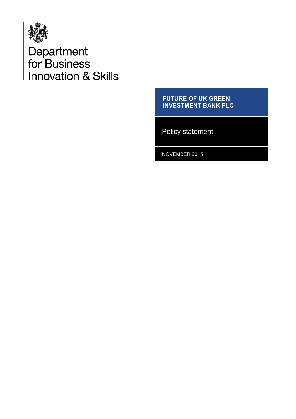

# Department<br>for Business<br>Innovation & Skills

#### **FUTURE OF UK GREEN INVESTMENT BANK PLC**

Policy statement

NOVEMBER 2015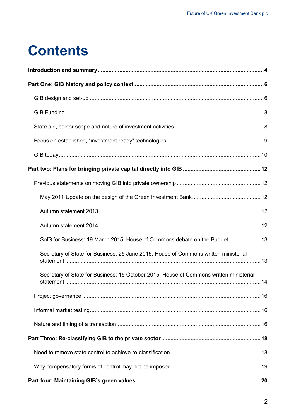# **Contents**

| SofS for Business: 19 March 2015: House of Commons debate on the Budget  13            |
|----------------------------------------------------------------------------------------|
| Secretary of State for Business: 25 June 2015: House of Commons written ministerial    |
| Secretary of State for Business: 15 October 2015: House of Commons written ministerial |
|                                                                                        |
|                                                                                        |
|                                                                                        |
|                                                                                        |
|                                                                                        |
|                                                                                        |
|                                                                                        |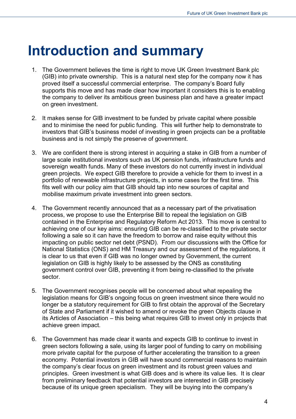# <span id="page-3-0"></span>**Introduction and summary**

- 1. The Government believes the time is right to move UK Green Investment Bank plc (GIB) into private ownership. This is a natural next step for the company now it has proved itself a successful commercial enterprise. The company's Board fully supports this move and has made clear how important it considers this is to enabling the company to deliver its ambitious green business plan and have a greater impact on green investment.
- 2. It makes sense for GIB investment to be funded by private capital where possible and to minimise the need for public funding. This will further help to demonstrate to investors that GIB's business model of investing in green projects can be a profitable business and is not simply the preserve of government.
- 3. We are confident there is strong interest in acquiring a stake in GIB from a number of large scale institutional investors such as UK pension funds, infrastructure funds and sovereign wealth funds. Many of these investors do not currently invest in individual green projects. We expect GIB therefore to provide a vehicle for them to invest in a portfolio of renewable infrastructure projects, in some cases for the first time. This fits well with our policy aim that GIB should tap into new sources of capital and mobilise maximum private investment into green sectors.
- 4. The Government recently announced that as a necessary part of the privatisation process, we propose to use the Enterprise Bill to repeal the legislation on GIB contained in the Enterprise and Regulatory Reform Act 2013. This move is central to achieving one of our key aims: ensuring GIB can be re-classified to the private sector following a sale so it can have the freedom to borrow and raise equity without this impacting on public sector net debt (PSND). From our discussions with the Office for National Statistics (ONS) and HM Treasury and our assessment of the regulations, it is clear to us that even if GIB was no longer owned by Government, the current legislation on GIB is highly likely to be assessed by the ONS as constituting government control over GIB, preventing it from being re-classified to the private sector.
- 5. The Government recognises people will be concerned about what repealing the legislation means for GIB's ongoing focus on green investment since there would no longer be a statutory requirement for GIB to first obtain the approval of the Secretary of State and Parliament if it wished to amend or revoke the green Objects clause in its Articles of Association – this being what requires GIB to invest only in projects that achieve green impact.
- 6. The Government has made clear it wants and expects GIB to continue to invest in green sectors following a sale, using its larger pool of funding to carry on mobilising more private capital for the purpose of further accelerating the transition to a green economy. Potential investors in GIB will have sound commercial reasons to maintain the company's clear focus on green investment and its robust green values and principles. Green investment is what GIB does and is where its value lies. It is clear from preliminary feedback that potential investors are interested in GIB precisely because of its unique green specialism. They will be buying into the company's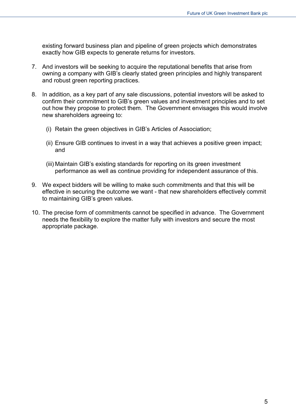existing forward business plan and pipeline of green projects which demonstrates exactly how GIB expects to generate returns for investors.

- 7. And investors will be seeking to acquire the reputational benefits that arise from owning a company with GIB's clearly stated green principles and highly transparent and robust green reporting practices.
- 8. In addition, as a key part of any sale discussions, potential investors will be asked to confirm their commitment to GIB's green values and investment principles and to set out how they propose to protect them. The Government envisages this would involve new shareholders agreeing to:
	- (i) Retain the green objectives in GIB's Articles of Association;
	- (ii) Ensure GIB continues to invest in a way that achieves a positive green impact; and
	- (iii) Maintain GIB's existing standards for reporting on its green investment performance as well as continue providing for independent assurance of this.
- 9. We expect bidders will be willing to make such commitments and that this will be effective in securing the outcome we want - that new shareholders effectively commit to maintaining GIB's green values.
- 10. The precise form of commitments cannot be specified in advance. The Government needs the flexibility to explore the matter fully with investors and secure the most appropriate package.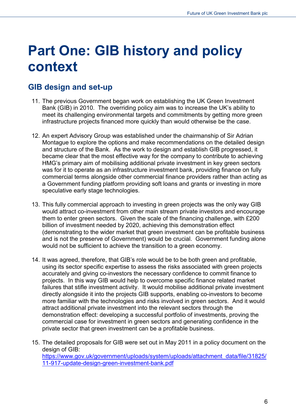# <span id="page-5-0"></span>**Part One: GIB history and policy context**

# <span id="page-5-1"></span>**GIB design and set-up**

- 11. The previous Government began work on establishing the UK Green Investment Bank (GIB) in 2010. The overriding policy aim was to increase the UK's ability to meet its challenging environmental targets and commitments by getting more green infrastructure projects financed more quickly than would otherwise be the case.
- 12. An expert Advisory Group was established under the chairmanship of Sir Adrian Montague to explore the options and make recommendations on the detailed design and structure of the Bank. As the work to design and establish GIB progressed, it became clear that the most effective way for the company to contribute to achieving HMG's primary aim of mobilising additional private investment in key green sectors was for it to operate as an infrastructure investment bank, providing finance on fully commercial terms alongside other commercial finance providers rather than acting as a Government funding platform providing soft loans and grants or investing in more speculative early stage technologies.
- 13. This fully commercial approach to investing in green projects was the only way GIB would attract co-investment from other main stream private investors and encourage them to enter green sectors. Given the scale of the financing challenge, with £200 billion of investment needed by 2020, achieving this demonstration effect (demonstrating to the wider market that green investment can be profitable business and is not the preserve of Government) would be crucial. Government funding alone would not be sufficient to achieve the transition to a green economy.
- 14. It was agreed, therefore, that GIB's role would be to be both green and profitable, using its sector specific expertise to assess the risks associated with green projects accurately and giving co-investors the necessary confidence to commit finance to projects. In this way GIB would help to overcome specific finance related market failures that stifle investment activity. It would mobilise additional private investment directly alongside it into the projects GIB supports, enabling co-investors to become more familiar with the technologies and risks involved in green sectors. And it would attract additional private investment into the relevant sectors through the demonstration effect: developing a successful portfolio of investments, proving the commercial case for investment in green sectors and generating confidence in the private sector that green investment can be a profitable business.
- 15. The detailed proposals for GIB were set out in May 2011 in a policy document on the design of GIB: [https://www.gov.uk/government/uploads/system/uploads/attachment\\_data/file/31825/](https://www.gov.uk/government/uploads/system/uploads/attachment_data/file/31825/11-917-update-design-green-investment-bank.pdf) [11-917-update-design-green-investment-bank.pdf](https://www.gov.uk/government/uploads/system/uploads/attachment_data/file/31825/11-917-update-design-green-investment-bank.pdf)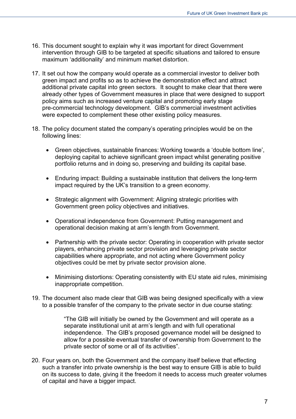- 16. This document sought to explain why it was important for direct Government intervention through GIB to be targeted at specific situations and tailored to ensure maximum 'additionality' and minimum market distortion.
- 17. It set out how the company would operate as a commercial investor to deliver both green impact and profits so as to achieve the demonstration effect and attract additional private capital into green sectors. It sought to make clear that there were already other types of Government measures in place that were designed to support policy aims such as increased venture capital and promoting early stage pre-commercial technology development. GIB's commercial investment activities were expected to complement these other existing policy measures.
- 18. The policy document stated the company's operating principles would be on the following lines:
	- Green objectives, sustainable finances: Working towards a 'double bottom line', deploying capital to achieve significant green impact whilst generating positive portfolio returns and in doing so, preserving and building its capital base.
	- Enduring impact: Building a sustainable institution that delivers the long-term impact required by the UK's transition to a green economy.
	- Strategic alignment with Government: Aligning strategic priorities with Government green policy objectives and initiatives.
	- Operational independence from Government: Putting management and operational decision making at arm's length from Government.
	- Partnership with the private sector: Operating in cooperation with private sector players, enhancing private sector provision and leveraging private sector capabilities where appropriate, and not acting where Government policy objectives could be met by private sector provision alone.
	- Minimising distortions: Operating consistently with EU state aid rules, minimising inappropriate competition.
- 19. The document also made clear that GIB was being designed specifically with a view to a possible transfer of the company to the private sector in due course stating:

"The GIB will initially be owned by the Government and will operate as a separate institutional unit at arm's length and with full operational independence. The GIB's proposed governance model will be designed to allow for a possible eventual transfer of ownership from Government to the private sector of some or all of its activities".

20. Four years on, both the Government and the company itself believe that effecting such a transfer into private ownership is the best way to ensure GIB is able to build on its success to date, giving it the freedom it needs to access much greater volumes of capital and have a bigger impact.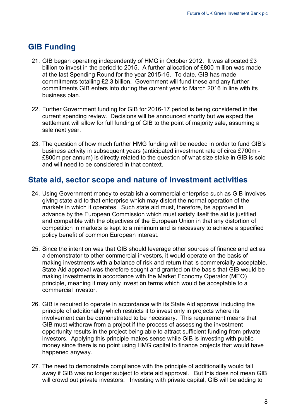# <span id="page-7-0"></span>**GIB Funding**

- 21. GIB began operating independently of HMG in October 2012. It was allocated £3 billion to invest in the period to 2015. A further allocation of £800 million was made at the last Spending Round for the year 2015-16. To date, GIB has made commitments totalling £2.3 billion. Government will fund these and any further commitments GIB enters into during the current year to March 2016 in line with its business plan.
- 22. Further Government funding for GIB for 2016-17 period is being considered in the current spending review. Decisions will be announced shortly but we expect the settlement will allow for full funding of GIB to the point of majority sale, assuming a sale next year.
- 23. The question of how much further HMG funding will be needed in order to fund GIB's business activity in subsequent years (anticipated investment rate of circa £700m - £800m per annum) is directly related to the question of what size stake in GIB is sold and will need to be considered in that context.

## <span id="page-7-1"></span>**State aid, sector scope and nature of investment activities**

- 24. Using Government money to establish a commercial enterprise such as GIB involves giving state aid to that enterprise which may distort the normal operation of the markets in which it operates. Such state aid must, therefore, be approved in advance by the European Commission which must satisfy itself the aid is justified and compatible with the objectives of the European Union in that any distortion of competition in markets is kept to a minimum and is necessary to achieve a specified policy benefit of common European interest.
- 25. Since the intention was that GIB should leverage other sources of finance and act as a demonstrator to other commercial investors, it would operate on the basis of making investments with a balance of risk and return that is commercially acceptable. State Aid approval was therefore sought and granted on the basis that GIB would be making investments in accordance with the Market Economy Operator (MEO) principle, meaning it may only invest on terms which would be acceptable to a commercial investor.
- 26. GIB is required to operate in accordance with its State Aid approval including the principle of additionality which restricts it to invest only in projects where its involvement can be demonstrated to be necessary. This requirement means that GIB must withdraw from a project if the process of assessing the investment opportunity results in the project being able to attract sufficient funding from private investors. Applying this principle makes sense while GIB is investing with public money since there is no point using HMG capital to finance projects that would have happened anyway.
- 27. The need to demonstrate compliance with the principle of additionality would fall away if GIB was no longer subject to state aid approval. But this does not mean GIB will crowd out private investors. Investing with private capital, GIB will be adding to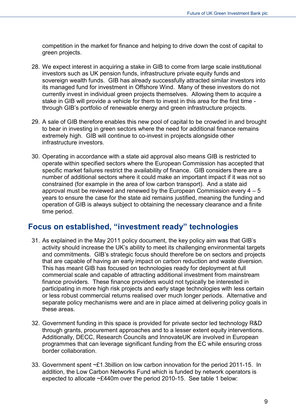competition in the market for finance and helping to drive down the cost of capital to green projects.

- 28. We expect interest in acquiring a stake in GIB to come from large scale institutional investors such as UK pension funds, infrastructure private equity funds and sovereign wealth funds. GIB has already successfully attracted similar investors into its managed fund for investment in Offshore Wind. Many of these investors do not currently invest in individual green projects themselves. Allowing them to acquire a stake in GIB will provide a vehicle for them to invest in this area for the first time through GIB's portfolio of renewable energy and green infrastructure projects.
- 29. A sale of GIB therefore enables this new pool of capital to be crowded in and brought to bear in investing in green sectors where the need for additional finance remains extremely high. GIB will continue to co-invest in projects alongside other infrastructure investors.
- 30. Operating in accordance with a state aid approval also means GIB is restricted to operate within specified sectors where the European Commission has accepted that specific market failures restrict the availability of finance. GIB considers there are a number of additional sectors where it could make an important impact if it was not so constrained (for example in the area of low carbon transport). And a state aid approval must be reviewed and renewed by the European Commission every  $4 - 5$ years to ensure the case for the state aid remains justified, meaning the funding and operation of GIB is always subject to obtaining the necessary clearance and a finite time period.

## <span id="page-8-0"></span>**Focus on established, "investment ready" technologies**

- 31. As explained in the May 2011 policy document, the key policy aim was that GIB's activity should increase the UK's ability to meet its challenging environmental targets and commitments. GIB's strategic focus should therefore be on sectors and projects that are capable of having an early impact on carbon reduction and waste diversion. This has meant GIB has focused on technologies ready for deployment at full commercial scale and capable of attracting additional investment from mainstream finance providers. These finance providers would not typically be interested in participating in more high risk projects and early stage technologies with less certain or less robust commercial returns realised over much longer periods. Alternative and separate policy mechanisms were and are in place aimed at delivering policy goals in these areas.
- 32. Government funding in this space is provided for private sector led technology R&D through grants, procurement approaches and to a lesser extent equity interventions. Additionally, DECC, Research Councils and InnovateUK are involved in European programmes that can leverage significant funding from the EC while ensuring cross border collaboration.
- 33. Government spent ~£1.3billion on low carbon innovation for the period 2011-15. In addition, the Low Carbon Networks Fund which is funded by network operators is expected to allocate ~£440m over the period 2010-15. See table 1 below: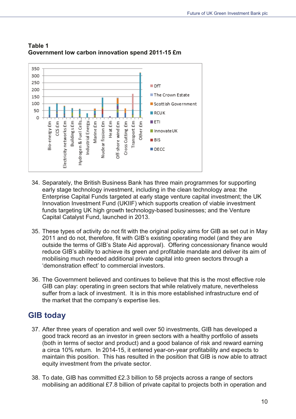

#### **Table 1 Government low carbon innovation spend 2011-15 £m**

- 34. Separately, the British Business Bank has three main programmes for supporting early stage technology investment, including in the clean technology area: the Enterprise Capital Funds targeted at early stage venture capital investment; the UK Innovation Investment Fund (UKIIF) which supports creation of viable investment funds targeting UK high growth technology-based businesses; and the Venture Capital Catalyst Fund, launched in 2013.
- 35. These types of activity do not fit with the original policy aims for GIB as set out in May 2011 and do not, therefore, fit with GIB's existing operating model (and they are outside the terms of GIB's State Aid approval). Offering concessionary finance would reduce GIB's ability to achieve its green and profitable mandate and deliver its aim of mobilising much needed additional private capital into green sectors through a 'demonstration effect' to commercial investors.
- 36. The Government believed and continues to believe that this is the most effective role GIB can play; operating in green sectors that while relatively mature, nevertheless suffer from a lack of investment. It is in this more established infrastructure end of the market that the company's expertise lies.

# <span id="page-9-0"></span>**GIB today**

- 37. After three years of operation and well over 50 investments, GIB has developed a good track record as an investor in green sectors with a healthy portfolio of assets (both in terms of sector and product) and a good balance of risk and reward earning a circa 10% return. In 2014-15, it entered year-on-year profitability and expects to maintain this position. This has resulted in the position that GIB is now able to attract equity investment from the private sector.
- 38. To date, GIB has committed £2.3 billion to 58 projects across a range of sectors mobilising an additional £7.8 billion of private capital to projects both in operation and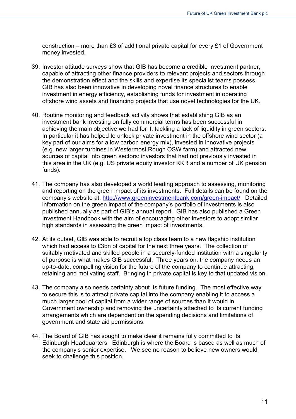construction – more than £3 of additional private capital for every £1 of Government money invested.

- 39. Investor attitude surveys show that GIB has become a credible investment partner, capable of attracting other finance providers to relevant projects and sectors through the demonstration effect and the skills and expertise its specialist teams possess. GIB has also been innovative in developing novel finance structures to enable investment in energy efficiency, establishing funds for investment in operating offshore wind assets and financing projects that use novel technologies for the UK.
- 40. Routine monitoring and feedback activity shows that establishing GIB as an investment bank investing on fully commercial terms has been successful in achieving the main objective we had for it: tackling a lack of liquidity in green sectors. In particular it has helped to unlock private investment in the offshore wind sector (a key part of our aims for a low carbon energy mix), invested in innovative projects (e.g. new larger turbines in Westermost Rough OSW farm) and attracted new sources of capital into green sectors: investors that had not previously invested in this area in the UK (e.g. US private equity investor KKR and a number of UK pension funds).
- 41. The company has also developed a world leading approach to assessing, monitoring and reporting on the green impact of its investments. Full details can be found on the company's website at: [http://www.greeninvestmentbank.com/green-impact/.](http://www.greeninvestmentbank.com/green-impact/) Detailed information on the green impact of the company's portfolio of investments is also published annually as part of GIB's annual report. GIB has also published a Green Investment Handbook with the aim of encouraging other investors to adopt similar high standards in assessing the green impact of investments.
- 42. At its outset, GIB was able to recruit a top class team to a new flagship institution which had access to £3bn of capital for the next three years. The collection of suitably motivated and skilled people in a securely-funded institution with a singularity of purpose is what makes GIB successful. Three years on, the company needs an up-to-date, compelling vision for the future of the company to continue attracting, retaining and motivating staff. Bringing in private capital is key to that updated vision.
- 43. The company also needs certainty about its future funding. The most effective way to secure this is to attract private capital into the company enabling it to access a much larger pool of capital from a wider range of sources than it would in Government ownership and removing the uncertainty attached to its current funding arrangements which are dependent on the spending decisions and limitations of government and state aid permissions.
- 44. The Board of GIB has sought to make clear it remains fully committed to its Edinburgh Headquarters. Edinburgh is where the Board is based as well as much of the company's senior expertise. We see no reason to believe new owners would seek to challenge this position.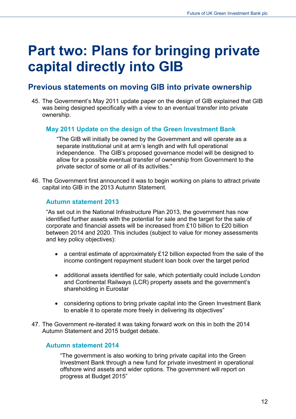# <span id="page-11-0"></span>**Part two: Plans for bringing private capital directly into GIB**

# <span id="page-11-1"></span>**Previous statements on moving GIB into private ownership**

45. The Government's May 2011 update paper on the design of GIB explained that GIB was being designed specifically with a view to an eventual transfer into private ownership.

#### <span id="page-11-2"></span>**May 2011 Update on the design of the Green Investment Bank**

"The GIB will initially be owned by the Government and will operate as a separate institutional unit at arm's length and with full operational independence. The GIB's proposed governance model will be designed to allow for a possible eventual transfer of ownership from Government to the private sector of some or all of its activities."

46. The Government first announced it was to begin working on plans to attract private capital into GIB in the 2013 Autumn Statement.

#### <span id="page-11-3"></span>**Autumn statement 2013**

"As set out in the National Infrastructure Plan 2013, the government has now identified further assets with the potential for sale and the target for the sale of corporate and financial assets will be increased from £10 billion to £20 billion between 2014 and 2020. This includes (subject to value for money assessments and key policy objectives):

- a central estimate of approximately £12 billion expected from the sale of the income contingent repayment student loan book over the target period
- additional assets identified for sale, which potentially could include London and Continental Railways (LCR) property assets and the government's shareholding in Eurostar
- considering options to bring private capital into the Green Investment Bank to enable it to operate more freely in delivering its objectives"
- 47. The Government re-iterated it was taking forward work on this in both the 2014 Autumn Statement and 2015 budget debate.

#### <span id="page-11-4"></span>**Autumn statement 2014**

"The government is also working to bring private capital into the Green Investment Bank through a new fund for private investment in operational offshore wind assets and wider options. The government will report on progress at Budget 2015"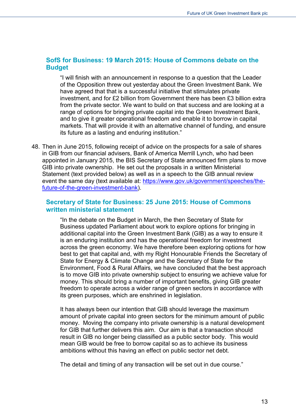#### <span id="page-12-0"></span>**SofS for Business: 19 March 2015: House of Commons debate on the Budget**

"I will finish with an announcement in response to a question that the Leader of the Opposition threw out yesterday about the Green Investment Bank. We have agreed that that is a successful initiative that stimulates private investment, and for £2 billion from Government there has been £3 billion extra from the private sector. We want to build on that success and are looking at a range of options for bringing private capital into the Green Investment Bank, and to give it greater operational freedom and enable it to borrow in capital markets. That will provide it with an alternative channel of funding, and ensure its future as a lasting and enduring institution."

48. Then in June 2015, following receipt of advice on the prospects for a sale of shares in GIB from our financial advisers, Bank of America Merrill Lynch, who had been appointed in January 2015, the BIS Secretary of State announced firm plans to move GIB into private ownership. He set out the proposals in a written Ministerial Statement (text provided below) as well as in a speech to the GIB annual review event the same day (text available at: [https://www.gov.uk/government/speeches/the](https://www.gov.uk/government/speeches/the-future-of-the-green-investment-bank)[future-of-the-green-investment-bank\)](https://www.gov.uk/government/speeches/the-future-of-the-green-investment-bank).

#### <span id="page-12-1"></span>**Secretary of State for Business: 25 June 2015: House of Commons written ministerial statement**

"In the debate on the Budget in March, the then Secretary of State for Business updated Parliament about work to explore options for bringing in additional capital into the Green Investment Bank (GIB) as a way to ensure it is an enduring institution and has the operational freedom for investment across the green economy. We have therefore been exploring options for how best to get that capital and, with my Right Honourable Friends the Secretary of State for Energy & Climate Change and the Secretary of State for the Environment, Food & Rural Affairs, we have concluded that the best approach is to move GIB into private ownership subject to ensuring we achieve value for money. This should bring a number of important benefits, giving GIB greater freedom to operate across a wider range of green sectors in accordance with its green purposes, which are enshrined in legislation.

It has always been our intention that GIB should leverage the maximum amount of private capital into green sectors for the minimum amount of public money. Moving the company into private ownership is a natural development for GIB that further delivers this aim. Our aim is that a transaction should result in GIB no longer being classified as a public sector body. This would mean GIB would be free to borrow capital so as to achieve its business ambitions without this having an effect on public sector net debt.

The detail and timing of any transaction will be set out in due course."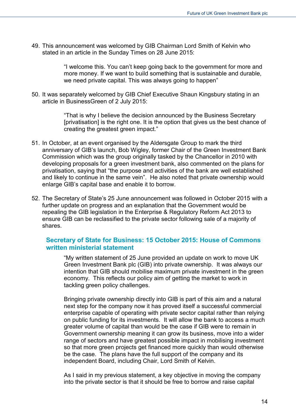49. This announcement was welcomed by GIB Chairman Lord Smith of Kelvin who stated in an article in the Sunday Times on 28 June 2015:

> "I welcome this. You can't keep going back to the government for more and more money. If we want to build something that is sustainable and durable, we need private capital. This was always going to happen"

50. It was separately welcomed by GIB Chief Executive Shaun Kingsbury stating in an article in BusinessGreen of 2 July 2015:

> "That is why I believe the decision announced by the Business Secretary [privatisation] is the right one. It is the option that gives us the best chance of creating the greatest green impact."

- 51. In October, at an event organised by the Aldersgate Group to mark the third anniversary of GIB's launch, Bob Wigley, former Chair of the Green Investment Bank Commission which was the group originally tasked by the Chancellor in 2010 with developing proposals for a green investment bank, also commented on the plans for privatisation, saying that "the purpose and activities of the bank are well established and likely to continue in the same vein". He also noted that private ownership would enlarge GIB's capital base and enable it to borrow.
- 52. The Secretary of State's 25 June announcement was followed in October 2015 with a further update on progress and an explanation that the Government would be repealing the GIB legislation in the Enterprise & Regulatory Reform Act 2013 to ensure GIB can be reclassified to the private sector following sale of a majority of shares.

#### <span id="page-13-0"></span>**Secretary of State for Business: 15 October 2015: House of Commons written ministerial statement**

"My written statement of 25 June provided an update on work to move UK Green Investment Bank plc (GIB) into private ownership. It was always our intention that GIB should mobilise maximum private investment in the green economy. This reflects our policy aim of getting the market to work in tackling green policy challenges.

Bringing private ownership directly into GIB is part of this aim and a natural next step for the company now it has proved itself a successful commercial enterprise capable of operating with private sector capital rather than relying on public funding for its investments. It will allow the bank to access a much greater volume of capital than would be the case if GIB were to remain in Government ownership meaning it can grow its business, move into a wider range of sectors and have greatest possible impact in mobilising investment so that more green projects get financed more quickly than would otherwise be the case. The plans have the full support of the company and its independent Board, including Chair, Lord Smith of Kelvin.

As I said in my previous statement, a key objective in moving the company into the private sector is that it should be free to borrow and raise capital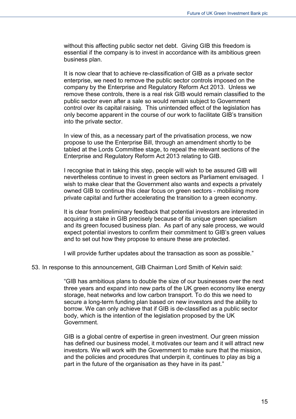without this affecting public sector net debt. Giving GIB this freedom is essential if the company is to invest in accordance with its ambitious green business plan.

It is now clear that to achieve re-classification of GIB as a private sector enterprise, we need to remove the public sector controls imposed on the company by the Enterprise and Regulatory Reform Act 2013. Unless we remove these controls, there is a real risk GIB would remain classified to the public sector even after a sale so would remain subject to Government control over its capital raising. This unintended effect of the legislation has only become apparent in the course of our work to facilitate GIB's transition into the private sector.

In view of this, as a necessary part of the privatisation process, we now propose to use the Enterprise Bill, through an amendment shortly to be tabled at the Lords Committee stage, to repeal the relevant sections of the Enterprise and Regulatory Reform Act 2013 relating to GIB.

I recognise that in taking this step, people will wish to be assured GIB will nevertheless continue to invest in green sectors as Parliament envisaged. I wish to make clear that the Government also wants and expects a privately owned GIB to continue this clear focus on green sectors - mobilising more private capital and further accelerating the transition to a green economy.

It is clear from preliminary feedback that potential investors are interested in acquiring a stake in GIB precisely because of its unique green specialism and its green focused business plan. As part of any sale process, we would expect potential investors to confirm their commitment to GIB's green values and to set out how they propose to ensure these are protected.

I will provide further updates about the transaction as soon as possible."

53. In response to this announcement, GIB Chairman Lord Smith of Kelvin said:

"GIB has ambitious plans to double the size of our businesses over the next three years and expand into new parts of the UK green economy like energy storage, heat networks and low carbon transport. To do this we need to secure a long-term funding plan based on new investors and the ability to borrow. We can only achieve that if GIB is de-classified as a public sector body, which is the intention of the legislation proposed by the UK Government.

GIB is a global centre of expertise in green investment. Our green mission has defined our business model, it motivates our team and it will attract new investors. We will work with the Government to make sure that the mission, and the policies and procedures that underpin it, continues to play as big a part in the future of the organisation as they have in its past."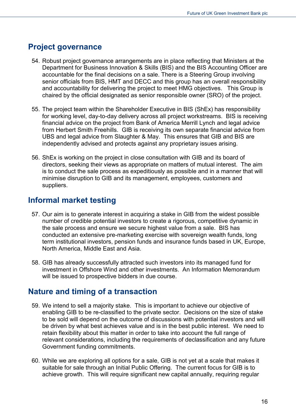## <span id="page-15-0"></span>**Project governance**

- 54. Robust project governance arrangements are in place reflecting that Ministers at the Department for Business Innovation & Skills (BIS) and the BIS Accounting Officer are accountable for the final decisions on a sale. There is a Steering Group involving senior officials from BIS, HMT and DECC and this group has an overall responsibility and accountability for delivering the project to meet HMG objectives. This Group is chaired by the official designated as senior responsible owner (SRO) of the project.
- 55. The project team within the Shareholder Executive in BIS (ShEx) has responsibility for working level, day-to-day delivery across all project workstreams. BIS is receiving financial advice on the project from Bank of America Merrill Lynch and legal advice from Herbert Smith Freehills. GIB is receiving its own separate financial advice from UBS and legal advice from Slaughter & May. This ensures that GIB and BIS are independently advised and protects against any proprietary issues arising.
- 56. ShEx is working on the project in close consultation with GIB and its board of directors, seeking their views as appropriate on matters of mutual interest. The aim is to conduct the sale process as expeditiously as possible and in a manner that will minimise disruption to GIB and its management, employees, customers and suppliers.

# <span id="page-15-1"></span>**Informal market testing**

- 57. Our aim is to generate interest in acquiring a stake in GIB from the widest possible number of credible potential investors to create a rigorous, competitive dynamic in the sale process and ensure we secure highest value from a sale. BIS has conducted an extensive pre-marketing exercise with sovereign wealth funds, long term institutional investors, pension funds and insurance funds based in UK, Europe, North America, Middle East and Asia.
- 58. GIB has already successfully attracted such investors into its managed fund for investment in Offshore Wind and other investments. An Information Memorandum will be issued to prospective bidders in due course.

## <span id="page-15-2"></span>**Nature and timing of a transaction**

- 59. We intend to sell a majority stake. This is important to achieve our objective of enabling GIB to be re-classified to the private sector. Decisions on the size of stake to be sold will depend on the outcome of discussions with potential investors and will be driven by what best achieves value and is in the best public interest. We need to retain flexibility about this matter in order to take into account the full range of relevant considerations, including the requirements of declassification and any future Government funding commitments.
- 60. While we are exploring all options for a sale, GIB is not yet at a scale that makes it suitable for sale through an Initial Public Offering. The current focus for GIB is to achieve growth. This will require significant new capital annually, requiring regular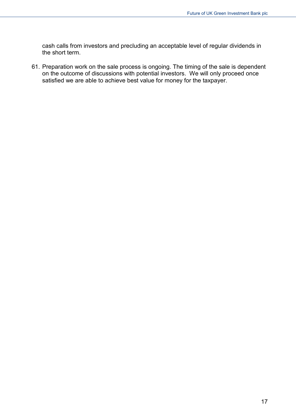cash calls from investors and precluding an acceptable level of regular dividends in the short term.

61. Preparation work on the sale process is ongoing. The timing of the sale is dependent on the outcome of discussions with potential investors. We will only proceed once satisfied we are able to achieve best value for money for the taxpayer.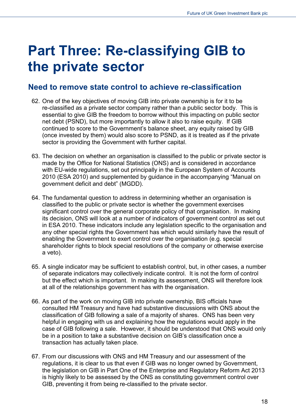# <span id="page-17-0"></span>**Part Three: Re-classifying GIB to the private sector**

## <span id="page-17-1"></span>**Need to remove state control to achieve re-classification**

- 62. One of the key objectives of moving GIB into private ownership is for it to be re-classified as a private sector company rather than a public sector body. This is essential to give GIB the freedom to borrow without this impacting on public sector net debt (PSND), but more importantly to allow it also to raise equity. If GIB continued to score to the Government's balance sheet, any equity raised by GIB (once invested by them) would also score to PSND, as it is treated as if the private sector is providing the Government with further capital.
- 63. The decision on whether an organisation is classified to the public or private sector is made by the Office for National Statistics (ONS) and is considered in accordance with EU-wide regulations, set out principally in the European System of Accounts 2010 (ESA 2010) and supplemented by guidance in the accompanying "Manual on government deficit and debt" (MGDD).
- 64. The fundamental question to address in determining whether an organisation is classified to the public or private sector is whether the government exercises significant control over the general corporate policy of that organisation. In making its decision, ONS will look at a number of indicators of government control as set out in ESA 2010. These indicators include any legislation specific to the organisation and any other special rights the Government has which would similarly have the result of enabling the Government to exert control over the organisation (e.g. special shareholder rights to block special resolutions of the company or otherwise exercise a veto).
- 65. A single indicator may be sufficient to establish control, but, in other cases, a number of separate indicators may collectively indicate control. It is not the form of control but the effect which is important. In making its assessment, ONS will therefore look at all of the relationships government has with the organisation.
- 66. As part of the work on moving GIB into private ownership, BIS officials have consulted HM Treasury and have had substantive discussions with ONS about the classification of GIB following a sale of a majority of shares. ONS has been very helpful in engaging with us and explaining how the regulations would apply in the case of GIB following a sale. However, it should be understood that ONS would only be in a position to take a substantive decision on GIB's classification once a transaction has actually taken place.
- 67. From our discussions with ONS and HM Treasury and our assessment of the regulations, it is clear to us that even if GIB was no longer owned by Government, the legislation on GIB in Part One of the Enterprise and Regulatory Reform Act 2013 is highly likely to be assessed by the ONS as constituting government control over GIB, preventing it from being re-classified to the private sector.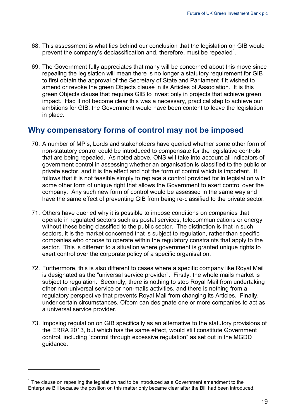- 68. This assessment is what lies behind our conclusion that the legislation on GIB would prevent the company's declassification and, therefore, must be repealed<sup>[1](#page-18-1)</sup>.
- 69. The Government fully appreciates that many will be concerned about this move since repealing the legislation will mean there is no longer a statutory requirement for GIB to first obtain the approval of the Secretary of State and Parliament if it wished to amend or revoke the green Objects clause in its Articles of Association. It is this green Objects clause that requires GIB to invest only in projects that achieve green impact. Had it not become clear this was a necessary, practical step to achieve our ambitions for GIB, the Government would have been content to leave the legislation in place.

## <span id="page-18-0"></span>**Why compensatory forms of control may not be imposed**

- 70. A number of MP's, Lords and stakeholders have queried whether some other form of non-statutory control could be introduced to compensate for the legislative controls that are being repealed. As noted above, ONS will take into account all indicators of government control in assessing whether an organisation is classified to the public or private sector, and it is the effect and not the form of control which is important. It follows that it is not feasible simply to replace a control provided for in legislation with some other form of unique right that allows the Government to exert control over the company. Any such new form of control would be assessed in the same way and have the same effect of preventing GIB from being re-classified to the private sector.
- 71. Others have queried why it is possible to impose conditions on companies that operate in regulated sectors such as postal services, telecommunications or energy without these being classified to the public sector. The distinction is that in such sectors, it is the market concerned that is subject to regulation, rather than specific companies who choose to operate within the regulatory constraints that apply to the sector. This is different to a situation where government is granted unique rights to exert control over the corporate policy of a specific organisation.
- 72. Furthermore, this is also different to cases where a specific company like Royal Mail is designated as the "universal service provider". Firstly, the whole mails market is subject to regulation. Secondly, there is nothing to stop Royal Mail from undertaking other non-universal service or non-mails activities, and there is nothing from a regulatory perspective that prevents Royal Mail from changing its Articles. Finally, under certain circumstances, Ofcom can designate one or more companies to act as a universal service provider.
- 73. Imposing regulation on GIB specifically as an alternative to the statutory provisions of the ERRA 2013, but which has the same effect, would still constitute Government control, including "control through excessive regulation" as set out in the MGDD guidance.

-

<span id="page-18-1"></span> $1$  The clause on repealing the legislation had to be introduced as a Government amendment to the Enterprise Bill because the position on this matter only became clear after the Bill had been introduced.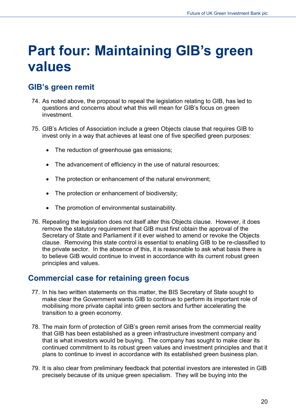# <span id="page-19-0"></span>**Part four: Maintaining GIB's green values**

# <span id="page-19-1"></span>**GIB's green remit**

- 74. As noted above, the proposal to repeal the legislation relating to GIB, has led to questions and concerns about what this will mean for GIB's focus on green investment.
- 75. GIB's Articles of Association include a green Objects clause that requires GIB to invest only in a way that achieves at least one of five specified green purposes:
	- The reduction of greenhouse gas emissions;
	- The advancement of efficiency in the use of natural resources;
	- The protection or enhancement of the natural environment;
	- The protection or enhancement of biodiversity;
	- The promotion of environmental sustainability.
- 76. Repealing the legislation does not itself alter this Objects clause. However, it does remove the statutory requirement that GIB must first obtain the approval of the Secretary of State and Parliament if it ever wished to amend or revoke the Objects clause. Removing this state control is essential to enabling GIB to be re-classified to the private sector. In the absence of this, it is reasonable to ask what basis there is to believe GIB would continue to invest in accordance with its current robust green principles and values.

## <span id="page-19-2"></span>**Commercial case for retaining green focus**

- 77. In his two written statements on this matter, the BIS Secretary of State sought to make clear the Government wants GIB to continue to perform its important role of mobilising more private capital into green sectors and further accelerating the transition to a green economy.
- 78. The main form of protection of GIB's green remit arises from the commercial reality that GIB has been established as a green infrastructure investment company and that is what investors would be buying. The company has sought to make clear its continued commitment to its robust green values and investment principles and that it plans to continue to invest in accordance with its established green business plan.
- 79. It is also clear from preliminary feedback that potential investors are interested in GIB precisely because of its unique green specialism. They will be buying into the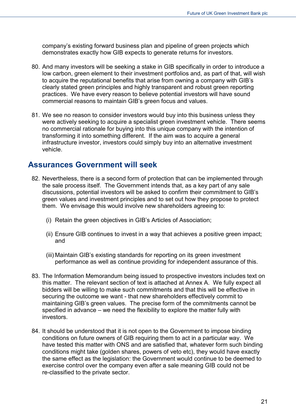company's existing forward business plan and pipeline of green projects which demonstrates exactly how GIB expects to generate returns for investors.

- 80. And many investors will be seeking a stake in GIB specifically in order to introduce a low carbon, green element to their investment portfolios and, as part of that, will wish to acquire the reputational benefits that arise from owning a company with GIB's clearly stated green principles and highly transparent and robust green reporting practices. We have every reason to believe potential investors will have sound commercial reasons to maintain GIB's green focus and values.
- 81. We see no reason to consider investors would buy into this business unless they were actively seeking to acquire a specialist green investment vehicle. There seems no commercial rationale for buying into this unique company with the intention of transforming it into something different. If the aim was to acquire a general infrastructure investor, investors could simply buy into an alternative investment vehicle.

### <span id="page-20-0"></span>**Assurances Government will seek**

- 82. Nevertheless, there is a second form of protection that can be implemented through the sale process itself. The Government intends that, as a key part of any sale discussions, potential investors will be asked to confirm their commitment to GIB's green values and investment principles and to set out how they propose to protect them. We envisage this would involve new shareholders agreeing to:
	- (i) Retain the green objectives in GIB's Articles of Association;
	- (ii) Ensure GIB continues to invest in a way that achieves a positive green impact; and
	- (iii) Maintain GIB's existing standards for reporting on its green investment performance as well as continue providing for independent assurance of this.
- 83. The Information Memorandum being issued to prospective investors includes text on this matter. The relevant section of text is attached at Annex A. We fully expect all bidders will be willing to make such commitments and that this will be effective in securing the outcome we want - that new shareholders effectively commit to maintaining GIB's green values. The precise form of the commitments cannot be specified in advance – we need the flexibility to explore the matter fully with investors.
- 84. It should be understood that it is not open to the Government to impose binding conditions on future owners of GIB requiring them to act in a particular way. We have tested this matter with ONS and are satisfied that, whatever form such binding conditions might take (golden shares, powers of veto etc), they would have exactly the same effect as the legislation: the Government would continue to be deemed to exercise control over the company even after a sale meaning GIB could not be re-classified to the private sector.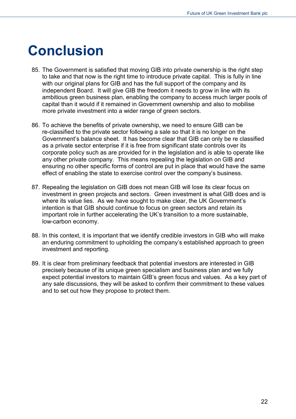# <span id="page-21-0"></span>**Conclusion**

- 85. The Government is satisfied that moving GIB into private ownership is the right step to take and that now is the right time to introduce private capital. This is fully in line with our original plans for GIB and has the full support of the company and its independent Board. It will give GIB the freedom it needs to grow in line with its ambitious green business plan, enabling the company to access much larger pools of capital than it would if it remained in Government ownership and also to mobilise more private investment into a wider range of green sectors.
- 86. To achieve the benefits of private ownership, we need to ensure GIB can be re-classified to the private sector following a sale so that it is no longer on the Government's balance sheet. It has become clear that GIB can only be re classified as a private sector enterprise if it is free from significant state controls over its corporate policy such as are provided for in the legislation and is able to operate like any other private company. This means repealing the legislation on GIB and ensuring no other specific forms of control are put in place that would have the same effect of enabling the state to exercise control over the company's business.
- 87. Repealing the legislation on GIB does not mean GIB will lose its clear focus on investment in green projects and sectors. Green investment is what GIB does and is where its value lies. As we have sought to make clear, the UK Government's intention is that GIB should continue to focus on green sectors and retain its important role in further accelerating the UK's transition to a more sustainable, low-carbon economy.
- 88. In this context, it is important that we identify credible investors in GIB who will make an enduring commitment to upholding the company's established approach to green investment and reporting.
- 89. It is clear from preliminary feedback that potential investors are interested in GIB precisely because of its unique green specialism and business plan and we fully expect potential investors to maintain GIB's green focus and values. As a key part of any sale discussions, they will be asked to confirm their commitment to these values and to set out how they propose to protect them.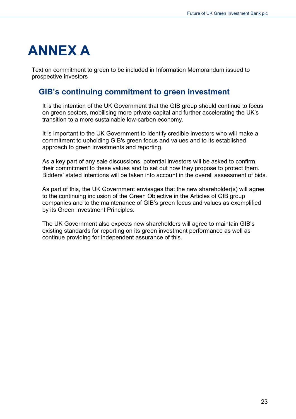# <span id="page-22-0"></span>**ANNEX A**

Text on commitment to green to be included in Information Memorandum issued to prospective investors

# <span id="page-22-1"></span>**GIB's continuing commitment to green investment**

It is the intention of the UK Government that the GIB group should continue to focus on green sectors, mobilising more private capital and further accelerating the UK's transition to a more sustainable low-carbon economy.

It is important to the UK Government to identify credible investors who will make a commitment to upholding GIB's green focus and values and to its established approach to green investments and reporting.

As a key part of any sale discussions, potential investors will be asked to confirm their commitment to these values and to set out how they propose to protect them. Bidders' stated intentions will be taken into account in the overall assessment of bids.

As part of this, the UK Government envisages that the new shareholder(s) will agree to the continuing inclusion of the Green Objective in the Articles of GIB group companies and to the maintenance of GIB's green focus and values as exemplified by its Green Investment Principles.

The UK Government also expects new shareholders will agree to maintain GIB's existing standards for reporting on its green investment performance as well as continue providing for independent assurance of this.